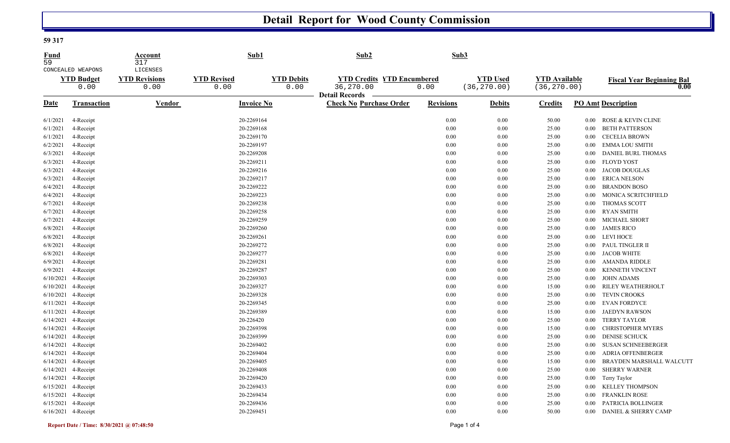## **Detail Report for Wood County Commission**

#### **59 317**

| Fund<br>59 | CONCEALED WEAPONS         | Account<br>317<br>LICENSES   | Sub1                       |                           | Sub <sub>2</sub>                                                        |                  | Sub3                            |                                      |          |                                          |
|------------|---------------------------|------------------------------|----------------------------|---------------------------|-------------------------------------------------------------------------|------------------|---------------------------------|--------------------------------------|----------|------------------------------------------|
|            | <b>YTD Budget</b><br>0.00 | <b>YTD Revisions</b><br>0.00 | <b>YTD Revised</b><br>0.00 | <b>YTD Debits</b><br>0.00 | <b>YTD Credits YTD Encumbered</b><br>36,270.00<br><b>Detail Records</b> | 0.00             | <b>YTD Used</b><br>(36, 270.00) | <b>YTD Available</b><br>(36, 270.00) |          | <b>Fiscal Year Beginning Bal</b><br>0.00 |
| Date       | Transaction               | <b>Vendor</b>                | <b>Invoice No</b>          |                           | <b>Check No Purchase Order</b>                                          | <b>Revisions</b> | <b>Debits</b>                   | <b>Credits</b>                       |          | <b>PO Amt Description</b>                |
| 6/1/2021   | 4-Receipt                 |                              | 20-2269164                 |                           |                                                                         | 0.00             | 0.00                            | 50.00                                | $0.00\,$ | ROSE & KEVIN CLINE                       |
| 6/1/2021   | 4-Receipt                 |                              | 20-2269168                 |                           |                                                                         | 0.00             | $0.00\,$                        | 25.00                                | 0.00     | <b>BETH PATTERSON</b>                    |
| 6/1/2021   | 4-Receipt                 |                              | 20-2269170                 |                           |                                                                         | 0.00             | 0.00                            | 25.00                                | 0.00     | <b>CECELIA BROWN</b>                     |
| 6/2/2021   | 4-Receipt                 |                              | 20-2269197                 |                           |                                                                         | 0.00             | 0.00                            | 25.00                                | 0.00     | <b>EMMA LOU SMITH</b>                    |
| 6/3/2021   | 4-Receipt                 |                              | 20-2269208                 |                           |                                                                         | 0.00             | 0.00                            | 25.00                                | 0.00     | DANIEL BURL THOMAS                       |
| 6/3/2021   | 4-Receipt                 |                              | 20-2269211                 |                           |                                                                         | 0.00             | 0.00                            | 25.00                                | 0.00     | <b>FLOYD YOST</b>                        |
| 6/3/2021   | 4-Receipt                 |                              | 20-2269216                 |                           |                                                                         | 0.00             | 0.00                            | 25.00                                | 0.00     | <b>JACOB DOUGLAS</b>                     |
| 6/3/2021   | 4-Receipt                 |                              | 20-2269217                 |                           |                                                                         | 0.00             | 0.00                            | 25.00                                | 0.00     | <b>ERICA NELSON</b>                      |
| 6/4/2021   | 4-Receipt                 |                              | 20-2269222                 |                           |                                                                         | 0.00             | 0.00                            | 25.00                                | $0.00\,$ | <b>BRANDON BOSO</b>                      |
| 6/4/2021   | 4-Receipt                 |                              | 20-2269223                 |                           |                                                                         | 0.00             | 0.00                            | 25.00                                | 0.00     | MONICA SCRITCHFIELD                      |
| 6/7/2021   | 4-Receipt                 |                              | 20-2269238                 |                           |                                                                         | 0.00             | 0.00                            | 25.00                                | 0.00     | THOMAS SCOTT                             |
| 6/7/2021   | 4-Receipt                 |                              | 20-2269258                 |                           |                                                                         | 0.00             | 0.00                            | 25.00                                | 0.00     | <b>RYAN SMITH</b>                        |
| 6/7/2021   | 4-Receipt                 |                              | 20-2269259                 |                           |                                                                         | 0.00             | 0.00                            | 25.00                                | 0.00     | MICHAEL SHORT                            |
| 6/8/2021   | 4-Receipt                 |                              | 20-2269260                 |                           |                                                                         | 0.00             | 0.00                            | 25.00                                | 0.00     | <b>JAMES RICO</b>                        |
| 6/8/2021   | 4-Receipt                 |                              | 20-2269261                 |                           |                                                                         | 0.00             | 0.00                            | 25.00                                | $0.00\,$ | <b>LEVI HOCE</b>                         |
| 6/8/2021   | 4-Receipt                 |                              | 20-2269272                 |                           |                                                                         | 0.00             | 0.00                            | 25.00                                | 0.00     | PAUL TINGLER II                          |
| 6/8/2021   | 4-Receipt                 |                              | 20-2269277                 |                           |                                                                         | 0.00             | 0.00                            | 25.00                                | $0.00\,$ | <b>JACOB WHITE</b>                       |
| 6/9/2021   | 4-Receipt                 |                              | 20-2269281                 |                           |                                                                         | 0.00             | 0.00                            | 25.00                                | 0.00     | <b>AMANDA RIDDLE</b>                     |
| 6/9/2021   | 4-Receipt                 |                              | 20-2269287                 |                           |                                                                         | 0.00             | 0.00                            | 25.00                                | 0.00     | <b>KENNETH VINCENT</b>                   |
| 6/10/2021  | 4-Receipt                 |                              | 20-2269303                 |                           |                                                                         | 0.00             | 0.00                            | 25.00                                | 0.00     | <b>JOHN ADAMS</b>                        |
| 6/10/2021  | 4-Receipt                 |                              | 20-2269327                 |                           |                                                                         | 0.00             | 0.00                            | 15.00                                | 0.00     | RILEY WEATHERHOLT                        |
| 6/10/2021  | 4-Receipt                 |                              | 20-2269328                 |                           |                                                                         | 0.00             | 0.00                            | 25.00                                | $0.00\,$ | <b>TEVIN CROOKS</b>                      |
| 6/11/2021  | 4-Receipt                 |                              | 20-2269345                 |                           |                                                                         | 0.00             | 0.00                            | 25.00                                | 0.00     | <b>EVAN FORDYCE</b>                      |
| 6/11/2021  | 4-Receipt                 |                              | 20-2269389                 |                           |                                                                         | 0.00             | 0.00                            | 15.00                                | 0.00     | <b>JAEDYN RAWSON</b>                     |
| 6/14/2021  | 4-Receipt                 |                              | 20-226420                  |                           |                                                                         | 0.00             | 0.00                            | 25.00                                | $0.00\,$ | <b>TERRY TAYLOR</b>                      |
| 6/14/2021  | 4-Receipt                 |                              | 20-2269398                 |                           |                                                                         | 0.00             | 0.00                            | 15.00                                | 0.00     | <b>CHRISTOPHER MYERS</b>                 |
| 6/14/2021  | 4-Receipt                 |                              | 20-2269399                 |                           |                                                                         | 0.00             | 0.00                            | 25.00                                | 0.00     | <b>DENISE SCHUCK</b>                     |
| 6/14/2021  | 4-Receipt                 |                              | 20-2269402                 |                           |                                                                         | 0.00             | 0.00                            | 25.00                                | 0.00     | <b>SUSAN SCHNEEBERGER</b>                |
| 6/14/2021  | 4-Receipt                 |                              | 20-2269404                 |                           |                                                                         | 0.00             | 0.00                            | 25.00                                | 0.00     | ADRIA OFFENBERGER                        |
| 6/14/2021  | 4-Receipt                 |                              | 20-2269405                 |                           |                                                                         | 0.00             | 0.00                            | 15.00                                | 0.00     | BRAYDEN MARSHALL WALCUTT                 |
| 6/14/2021  | 4-Receipt                 |                              | 20-2269408                 |                           |                                                                         | 0.00             | 0.00                            | 25.00                                | 0.00     | <b>SHERRY WARNER</b>                     |
| 6/14/2021  | 4-Receipt                 |                              | 20-2269420                 |                           |                                                                         | 0.00             | 0.00                            | 25.00                                | 0.00     | Terry Taylor                             |
| 6/15/2021  | 4-Receipt                 |                              | 20-2269433                 |                           |                                                                         | 0.00             | 0.00                            | 25.00                                | 0.00     | <b>KELLEY THOMPSON</b>                   |
| 6/15/2021  | 4-Receipt                 |                              | 20-2269434                 |                           |                                                                         | 0.00             | 0.00                            | 25.00                                | 0.00     | <b>FRANKLIN ROSE</b>                     |
| 6/15/2021  | 4-Receipt                 |                              | 20-2269436                 |                           |                                                                         | 0.00             | 0.00                            | 25.00                                | 0.00     | PATRICIA BOLLINGER                       |
|            | 6/16/2021 4-Receipt       |                              | 20-2269451                 |                           |                                                                         | 0.00             | 0.00                            | 50.00                                | 0.00     | DANIEL & SHERRY CAMP                     |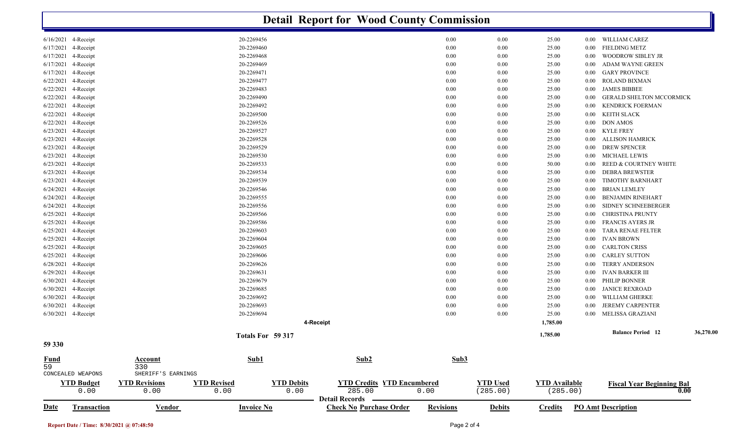|             | <b>Detail Report for Wood County Commission</b> |                      |                    |                   |                                   |                  |                 |                      |          |                                  |           |  |  |
|-------------|-------------------------------------------------|----------------------|--------------------|-------------------|-----------------------------------|------------------|-----------------|----------------------|----------|----------------------------------|-----------|--|--|
|             | $6/16/2021$ 4-Receipt                           |                      | 20-2269456         |                   |                                   | 0.00             | 0.00            | 25.00                |          | 0.00 WILLIAM CAREZ               |           |  |  |
| 6/17/2021   | 4-Receipt                                       |                      | 20-2269460         |                   |                                   | 0.00             | 0.00            | 25.00                | $0.00\,$ | <b>FIELDING METZ</b>             |           |  |  |
| 6/17/2021   | 4-Receipt                                       |                      | 20-2269468         |                   |                                   | 0.00             | 0.00            | 25.00                | 0.00     | WOODROW SIBLEY JR                |           |  |  |
| 6/17/2021   | 4-Receipt                                       |                      | 20-2269469         |                   |                                   | 0.00             | 0.00            | 25.00                | 0.00     | ADAM WAYNE GREEN                 |           |  |  |
| 6/17/2021   | 4-Receipt                                       |                      | 20-2269471         |                   |                                   | 0.00             | 0.00            | 25.00                | $0.00\,$ | <b>GARY PROVINCE</b>             |           |  |  |
|             | 6/22/2021 4-Receipt                             |                      | 20-2269477         |                   |                                   | 0.00             | 0.00            | 25.00                | $0.00\,$ | ROLAND BIXMAN                    |           |  |  |
|             | 6/22/2021 4-Receipt                             |                      | 20-2269483         |                   |                                   | 0.00             | 0.00            | 25.00                | 0.00     | <b>JAMES BIBBEE</b>              |           |  |  |
|             | 6/22/2021 4-Receipt                             |                      | 20-2269490         |                   |                                   | 0.00             | 0.00            | 25.00                | $0.00\,$ | <b>GERALD SHELTON MCCORMICK</b>  |           |  |  |
|             | 6/22/2021 4-Receipt                             |                      | 20-2269492         |                   |                                   | 0.00             | 0.00            | 25.00                | 0.00     | <b>KENDRICK FOERMAN</b>          |           |  |  |
| 6/22/2021   | 4-Receipt                                       |                      | 20-2269500         |                   |                                   | 0.00             | 0.00            | 25.00                | 0.00     | KEITH SLACK                      |           |  |  |
| 6/22/2021   | 4-Receipt                                       |                      | 20-2269526         |                   |                                   | 0.00             | 0.00            | 25.00                | $0.00\,$ | <b>DON AMOS</b>                  |           |  |  |
| 6/23/2021   | 4-Receipt                                       |                      | 20-2269527         |                   |                                   | 0.00             | 0.00            | 25.00                | $0.00\,$ | <b>KYLE FREY</b>                 |           |  |  |
| 6/23/2021   | 4-Receipt                                       |                      | 20-2269528         |                   |                                   | 0.00             | 0.00            | 25.00                | 0.00     | <b>ALLISON HAMRICK</b>           |           |  |  |
| 6/23/2021   | 4-Receipt                                       |                      | 20-2269529         |                   |                                   | 0.00             | 0.00            | 25.00                | $0.00\,$ | <b>DREW SPENCER</b>              |           |  |  |
|             | 6/23/2021 4-Receipt                             |                      | 20-2269530         |                   |                                   | 0.00             | 0.00            | 25.00                | $0.00\,$ | MICHAEL LEWIS                    |           |  |  |
|             | 6/23/2021 4-Receipt                             |                      | 20-2269533         |                   |                                   | 0.00             | 0.00            | 50.00                | 0.00     | REED & COURTNEY WHITE            |           |  |  |
| 6/23/2021   | 4-Receipt                                       |                      | 20-2269534         |                   |                                   | 0.00             | 0.00            | 25.00                | 0.00     | <b>DEBRA BREWSTER</b>            |           |  |  |
|             | 6/23/2021 4-Receipt                             |                      | 20-2269539         |                   |                                   | 0.00             | 0.00            | 25.00                | $0.00\,$ | TIMOTHY BARNHART                 |           |  |  |
| 6/24/2021   | 4-Receipt                                       |                      | 20-2269546         |                   |                                   | 0.00             | 0.00            | 25.00                | 0.00     | <b>BRIAN LEMLEY</b>              |           |  |  |
|             | 6/24/2021 4-Receipt                             |                      | 20-2269555         |                   |                                   | 0.00             | 0.00            | 25.00                | 0.00     | <b>BENJAMIN RINEHART</b>         |           |  |  |
|             | 6/24/2021 4-Receipt                             |                      | 20-2269556         |                   |                                   | 0.00             | 0.00            | 25.00                | 0.00     | SIDNEY SCHNEEBERGER              |           |  |  |
|             | 6/25/2021 4-Receipt                             |                      | 20-2269566         |                   |                                   | 0.00             | 0.00            | 25.00                | 0.00     | <b>CHRISTINA PRUNTY</b>          |           |  |  |
| 6/25/2021   | 4-Receipt                                       |                      | 20-2269586         |                   |                                   | 0.00             | 0.00            | 25.00                | 0.00     | <b>FRANCIS AYERS JR</b>          |           |  |  |
| 6/25/2021   | 4-Receipt                                       |                      | 20-2269603         |                   |                                   | 0.00             | 0.00            | 25.00                | 0.00     | TARA RENAE FELTER                |           |  |  |
| 6/25/2021   | 4-Receipt                                       |                      | 20-2269604         |                   |                                   | 0.00             | 0.00            | 25.00                | $0.00\,$ | <b>IVAN BROWN</b>                |           |  |  |
| 6/25/2021   | 4-Receipt                                       |                      | 20-2269605         |                   |                                   | 0.00             | 0.00            | 25.00                | $0.00\,$ | <b>CARLTON CRISS</b>             |           |  |  |
|             | 6/25/2021 4-Receipt                             |                      | 20-2269606         |                   |                                   | 0.00             | 0.00            | 25.00                | 0.00     | <b>CARLEY SUTTON</b>             |           |  |  |
|             | 6/28/2021 4-Receipt                             |                      | 20-2269626         |                   |                                   | 0.00             | 0.00            | 25.00                | 0.00     | <b>TERRY ANDERSON</b>            |           |  |  |
|             | $6/29/2021$ 4-Receipt                           |                      | 20-2269631         |                   |                                   | 0.00             | 0.00            | 25.00                | $0.00\,$ | IVAN BARKER III                  |           |  |  |
|             | 6/30/2021 4-Receipt                             |                      | 20-2269679         |                   |                                   | 0.00             | 0.00            | 25.00                | $0.00\,$ | PHILIP BONNER                    |           |  |  |
|             | 6/30/2021 4-Receipt                             |                      | 20-2269685         |                   |                                   | 0.00             | 0.00            | 25.00                | 0.00     | <b>JANICE REXROAD</b>            |           |  |  |
|             | 6/30/2021 4-Receipt                             |                      | 20-2269692         |                   |                                   | 0.00             | 0.00            | 25.00                | $0.00\,$ | WILLIAM GHERKE                   |           |  |  |
|             | 6/30/2021 4-Receipt                             |                      | 20-2269693         |                   |                                   | 0.00             | 0.00            | 25.00                | 0.00     | <b>JEREMY CARPENTER</b>          |           |  |  |
|             | 6/30/2021 4-Receipt                             |                      | 20-2269694         |                   |                                   | 0.00             | 0.00            | 25.00                | $0.00\,$ | MELISSA GRAZIANI                 |           |  |  |
|             |                                                 |                      |                    | 4-Receipt         |                                   |                  |                 | 1,785.00             |          |                                  |           |  |  |
|             |                                                 |                      | Totals For 59 317  |                   |                                   |                  |                 | 1,785.00             |          | <b>Balance Period</b> 12         | 36,270.00 |  |  |
| 59 330      |                                                 |                      |                    |                   |                                   |                  |                 |                      |          |                                  |           |  |  |
| <b>Fund</b> |                                                 | Account              | Sub1               |                   | Sub2                              | Sub3             |                 |                      |          |                                  |           |  |  |
| 59          |                                                 | 330                  |                    |                   |                                   |                  |                 |                      |          |                                  |           |  |  |
|             | CONCEALED WEAPONS                               | SHERIFF'S EARNINGS   |                    |                   |                                   |                  |                 |                      |          |                                  |           |  |  |
|             | <b>YTD Budget</b>                               | <b>YTD Revisions</b> | <b>YTD Revised</b> | <b>YTD Debits</b> | <b>YTD Credits YTD Encumbered</b> |                  | <b>YTD Used</b> | <b>YTD Available</b> |          | <b>Fiscal Year Beginning Bal</b> |           |  |  |
|             | 0.00                                            | 0.00                 | 0.00               | 0.00              | 285.00                            | 0.00             | (285.00)        | (285.00)             |          |                                  | 0.00      |  |  |
|             |                                                 |                      |                    |                   | Detail Records -                  |                  |                 |                      |          |                                  |           |  |  |
| Date        | Transaction                                     | <b>Vendor</b>        | <b>Invoice No</b>  |                   | <b>Check No Purchase Order</b>    | <b>Revisions</b> | <b>Debits</b>   | Credits              |          | <b>PO Amt Description</b>        |           |  |  |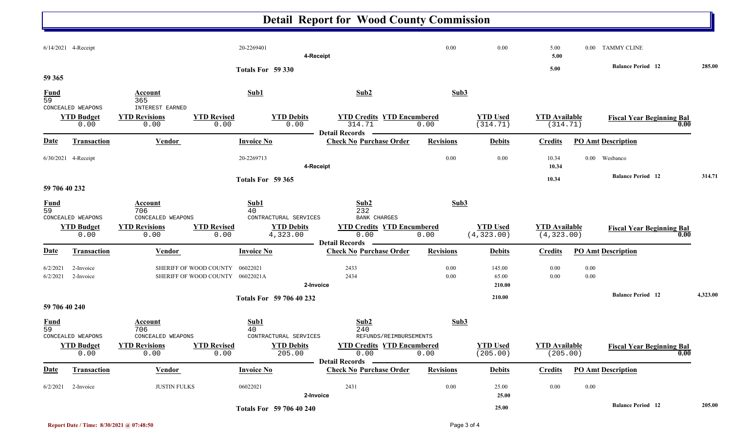# **Detail Report for Wood County Commission**

|                                |                                                |                                                                            |                                          | 2-Invoice                                              |                                                                                 |                          | 25.00                          |                                     |              |                                          |          |
|--------------------------------|------------------------------------------------|----------------------------------------------------------------------------|------------------------------------------|--------------------------------------------------------|---------------------------------------------------------------------------------|--------------------------|--------------------------------|-------------------------------------|--------------|------------------------------------------|----------|
| Date<br>6/2/2021               | <b>Transaction</b><br>2-Invoice                | <b>Vendor</b><br><b>JUSTIN FULKS</b>                                       | <b>Invoice No</b><br>06022021            |                                                        | <b>Check No Purchase Order</b><br>2431                                          | <b>Revisions</b><br>0.00 | <b>Debits</b><br>25.00         | <b>Credits</b><br>$0.00\,$          | $0.00\,$     | <b>PO Amt Description</b>                |          |
|                                | <b>YTD Budget</b><br>0.00                      | <b>YTD Revisions</b><br>0.00                                               | <b>YTD Revised</b><br>0.00               | <b>YTD Debits</b><br>205.00                            | <b>YTD Credits YTD Encumbered</b><br>0.00<br>Detail Records ————                | 0.00                     | <b>YTD Used</b><br>(205.00)    | <b>YTD</b> Available<br>(205.00)    |              | <b>Fiscal Year Beginning Bal</b><br>0.00 |          |
| $\frac{Fund}{59}$              | CONCEALED WEAPONS                              | Account<br>706<br>CONCEALED WEAPONS                                        | Sub1<br>40                               | CONTRACTURAL SERVICES                                  | Sub2<br>240<br>REFUNDS/REIMBURSEMENTS                                           | Sub3                     |                                |                                     |              |                                          |          |
| 59 706 40 240                  |                                                |                                                                            |                                          |                                                        |                                                                                 |                          |                                |                                     |              |                                          |          |
|                                |                                                |                                                                            |                                          | Totals For 59 706 40 232                               |                                                                                 |                          | 210.00                         |                                     |              | <b>Balance Period</b> 12                 | 4,323.00 |
| 6/2/2021                       | 2-Invoice                                      | SHERIFF OF WOOD COUNTY                                                     | 06022021A                                | 2-Invoice                                              | 2434                                                                            |                          | 65.00<br>210.00                | 0.00                                |              |                                          |          |
| 6/2/2021                       | 2-Invoice                                      | SHERIFF OF WOOD COUNTY                                                     | 06022021                                 |                                                        | 2433                                                                            | 0.00<br>0.00             | 145.00                         | 0.00                                | 0.00<br>0.00 |                                          |          |
| <u>Date</u>                    | <b>Transaction</b>                             | <b>Vendor</b>                                                              | <b>Invoice No</b>                        |                                                        | <b>Detail Records</b><br><b>Check No Purchase Order</b>                         | <b>Revisions</b>         | <b>Debits</b>                  | <b>Credits</b>                      |              | <b>PO Amt Description</b>                |          |
| $\frac{Fund}{59}$              | CONCEALED WEAPONS<br><b>YTD Budget</b><br>0.00 | <b>Account</b><br>706<br>CONCEALED WEAPONS<br><b>YTD Revisions</b><br>0.00 | Sub1<br>40<br><b>YTD Revised</b><br>0.00 | CONTRACTURAL SERVICES<br><b>YTD Debits</b><br>4,323.00 | Sub2<br>232<br><b>BANK CHARGES</b><br><b>YTD Credits YTD Encumbered</b><br>0.00 | Sub3<br>0.00             | <b>YTD Used</b><br>(4, 323.00) | <b>YTD Available</b><br>(4, 323.00) |              | <b>Fiscal Year Beginning Bal</b><br>0.00 |          |
| 59 706 40 232                  |                                                |                                                                            | Totals For 59 365                        |                                                        |                                                                                 |                          |                                | 10.34                               |              |                                          |          |
|                                | 6/30/2021 4-Receipt                            |                                                                            | 20-2269713                               | 4-Receipt                                              |                                                                                 | 0.00                     | 0.00                           | 10.34<br>10.34                      | $0.00\,$     | Wesbanco<br><b>Balance Period 12</b>     | 314.71   |
| <b>Date</b>                    | Transaction                                    | Vendor                                                                     | <b>Invoice No</b>                        |                                                        | <b>Check No Purchase Order</b>                                                  | <b>Revisions</b>         | <b>Debits</b>                  | <b>Credits</b>                      |              | <b>PO Amt Description</b>                |          |
|                                | CONCEALED WEAPONS<br><b>YTD Budget</b><br>0.00 | <b>INTEREST EARNED</b><br><b>YTD Revisions</b><br>0.00                     | <b>YTD Revised</b><br>0.00               | <b>YTD Debits</b><br>0.00                              | <b>YTD Credits YTD Encumbered</b><br>314.71<br><b>Detail Records</b>            | 0.00                     | <b>YTD Used</b><br>(314.71)    | <b>YTD Available</b><br>(314.71)    |              | <b>Fiscal Year Beginning Bal</b><br>0.00 |          |
| <b>Fund</b><br>$\overline{59}$ |                                                | <b>Account</b><br>365                                                      | Sub1                                     |                                                        | Sub2                                                                            | Sub3                     |                                |                                     |              |                                          |          |
| 59 365                         |                                                |                                                                            | Totals For 59 330                        |                                                        |                                                                                 |                          |                                | 5.00                                |              | <b>Balance Period</b> 12                 | 285.00   |
|                                | 6/14/2021 4-Receipt                            |                                                                            | 20-2269401                               | 4-Receipt                                              |                                                                                 | 0.00                     | 0.00                           | 5.00<br>5.00                        |              | 0.00 TAMMY CLINE                         |          |
|                                |                                                |                                                                            |                                          |                                                        |                                                                                 |                          |                                |                                     |              |                                          |          |